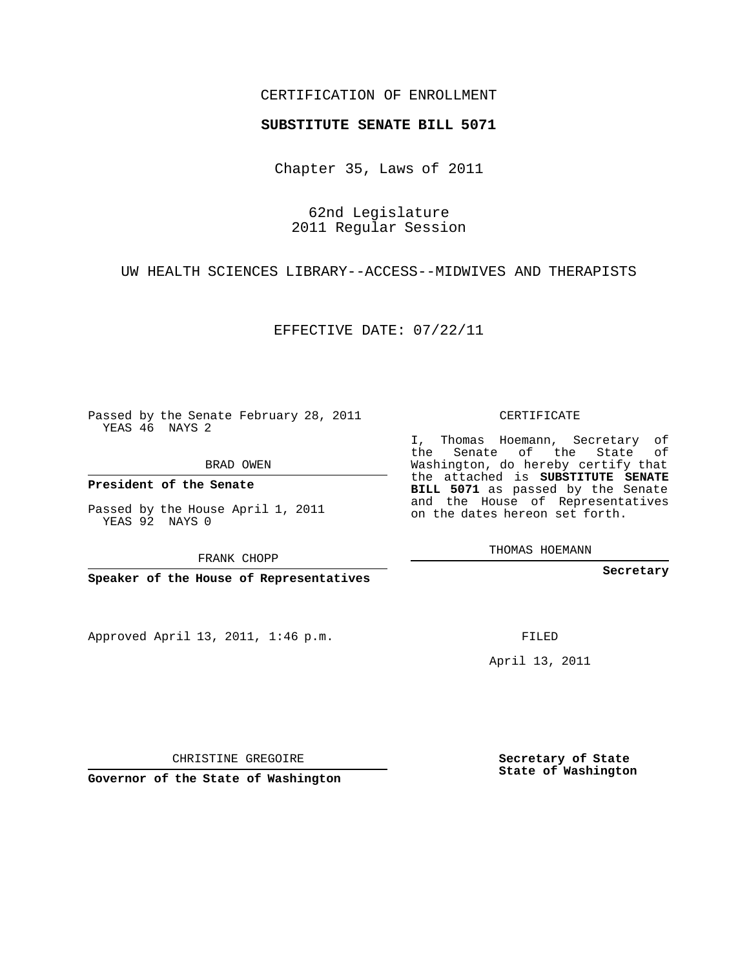## CERTIFICATION OF ENROLLMENT

## **SUBSTITUTE SENATE BILL 5071**

Chapter 35, Laws of 2011

62nd Legislature 2011 Regular Session

UW HEALTH SCIENCES LIBRARY--ACCESS--MIDWIVES AND THERAPISTS

EFFECTIVE DATE: 07/22/11

Passed by the Senate February 28, 2011 YEAS 46 NAYS 2

BRAD OWEN

**President of the Senate**

Passed by the House April 1, 2011 YEAS 92 NAYS 0

FRANK CHOPP

**Speaker of the House of Representatives**

Approved April 13, 2011, 1:46 p.m.

CERTIFICATE

I, Thomas Hoemann, Secretary of the Senate of the State of Washington, do hereby certify that the attached is **SUBSTITUTE SENATE BILL 5071** as passed by the Senate and the House of Representatives on the dates hereon set forth.

THOMAS HOEMANN

**Secretary**

FILED

April 13, 2011

CHRISTINE GREGOIRE

**Governor of the State of Washington**

**Secretary of State State of Washington**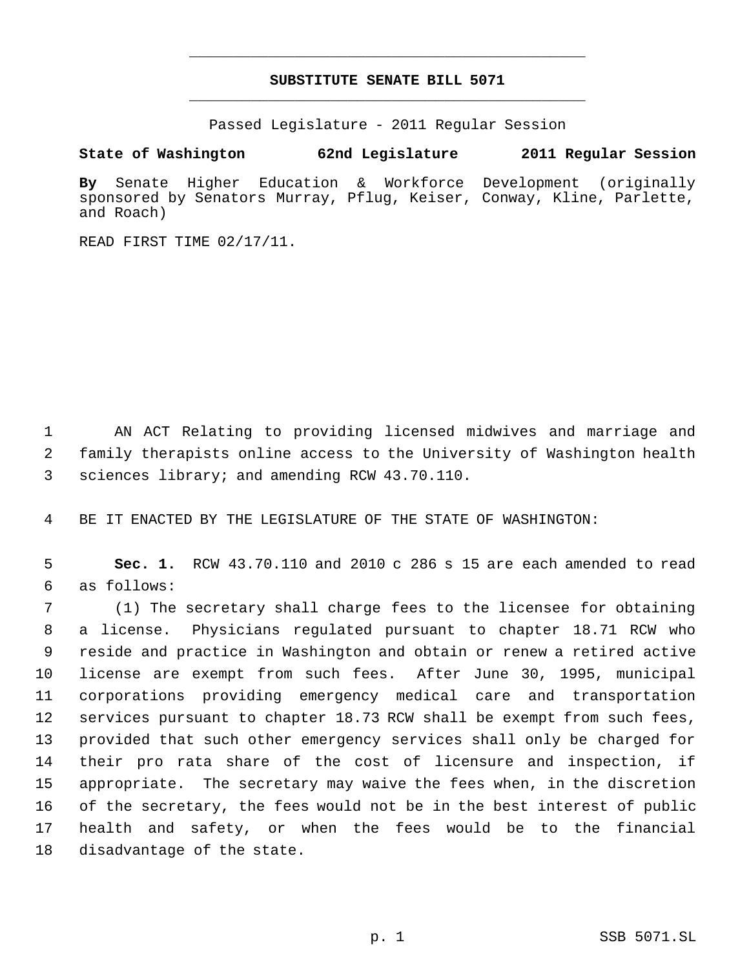## **SUBSTITUTE SENATE BILL 5071** \_\_\_\_\_\_\_\_\_\_\_\_\_\_\_\_\_\_\_\_\_\_\_\_\_\_\_\_\_\_\_\_\_\_\_\_\_\_\_\_\_\_\_\_\_

\_\_\_\_\_\_\_\_\_\_\_\_\_\_\_\_\_\_\_\_\_\_\_\_\_\_\_\_\_\_\_\_\_\_\_\_\_\_\_\_\_\_\_\_\_

Passed Legislature - 2011 Regular Session

## **State of Washington 62nd Legislature 2011 Regular Session**

**By** Senate Higher Education & Workforce Development (originally sponsored by Senators Murray, Pflug, Keiser, Conway, Kline, Parlette, and Roach)

READ FIRST TIME 02/17/11.

 AN ACT Relating to providing licensed midwives and marriage and family therapists online access to the University of Washington health sciences library; and amending RCW 43.70.110.

BE IT ENACTED BY THE LEGISLATURE OF THE STATE OF WASHINGTON:

 **Sec. 1.** RCW 43.70.110 and 2010 c 286 s 15 are each amended to read as follows:

 (1) The secretary shall charge fees to the licensee for obtaining a license. Physicians regulated pursuant to chapter 18.71 RCW who reside and practice in Washington and obtain or renew a retired active license are exempt from such fees. After June 30, 1995, municipal corporations providing emergency medical care and transportation services pursuant to chapter 18.73 RCW shall be exempt from such fees, provided that such other emergency services shall only be charged for their pro rata share of the cost of licensure and inspection, if appropriate. The secretary may waive the fees when, in the discretion of the secretary, the fees would not be in the best interest of public health and safety, or when the fees would be to the financial disadvantage of the state.